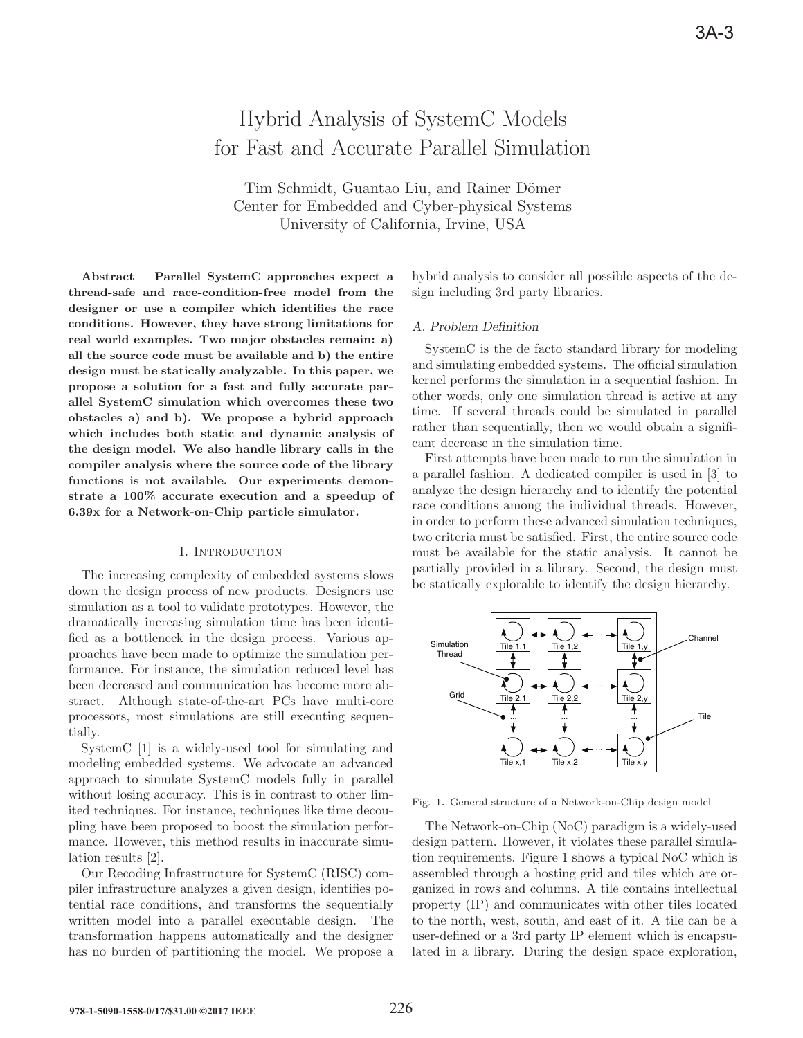# Hybrid Analysis of SystemC Models for Fast and Accurate Parallel Simulation

Tim Schmidt, Guantao Liu, and Rainer Dömer Center for Embedded and Cyber-physical Systems University of California, Irvine, USA

**Abstract— Parallel SystemC approaches expect a thread-safe and race-condition-free model from the designer or use a compiler which identifies the race conditions. However, they have strong limitations for real world examples. Two major obstacles remain: a) all the source code must be available and b) the entire design must be statically analyzable. In this paper, we propose a solution for a fast and fully accurate parallel SystemC simulation which overcomes these two obstacles a) and b). We propose a hybrid approach which includes both static and dynamic analysis of the design model. We also handle library calls in the compiler analysis where the source code of the library functions is not available. Our experiments demonstrate a 100% accurate execution and a speedup of 6.39x for a Network-on-Chip particle simulator.**

#### I. Introduction

The increasing complexity of embedded systems slows down the design process of new products. Designers use simulation as a tool to validate prototypes. However, the dramatically increasing simulation time has been identified as a bottleneck in the design process. Various approaches have been made to optimize the simulation performance. For instance, the simulation reduced level has been decreased and communication has become more abstract. Although state-of-the-art PCs have multi-core processors, most simulations are still executing sequentially.

SystemC [1] is a widely-used tool for simulating and modeling embedded systems. We advocate an advanced approach to simulate SystemC models fully in parallel without losing accuracy. This is in contrast to other limited techniques. For instance, techniques like time decoupling have been proposed to boost the simulation performance. However, this method results in inaccurate simulation results [2].

Our Recoding Infrastructure for SystemC (RISC) compiler infrastructure analyzes a given design, identifies potential race conditions, and transforms the sequentially written model into a parallel executable design. The transformation happens automatically and the designer has no burden of partitioning the model. We propose a hybrid analysis to consider all possible aspects of the design including 3rd party libraries.

## *A. Problem Definition*

SystemC is the de facto standard library for modeling and simulating embedded systems. The official simulation kernel performs the simulation in a sequential fashion. In other words, only one simulation thread is active at any time. If several threads could be simulated in parallel rather than sequentially, then we would obtain a significant decrease in the simulation time.

First attempts have been made to run the simulation in a parallel fashion. A dedicated compiler is used in [3] to analyze the design hierarchy and to identify the potential race conditions among the individual threads. However, in order to perform these advanced simulation techniques, two criteria must be satisfied. First, the entire source code must be available for the static analysis. It cannot be partially provided in a library. Second, the design must be statically explorable to identify the design hierarchy.



Fig. 1. General structure of a Network-on-Chip design model

The Network-on-Chip (NoC) paradigm is a widely-used design pattern. However, it violates these parallel simulation requirements. Figure 1 shows a typical NoC which is assembled through a hosting grid and tiles which are organized in rows and columns. A tile contains intellectual property (IP) and communicates with other tiles located to the north, west, south, and east of it. A tile can be a user-defined or a 3rd party IP element which is encapsulated in a library. During the design space exploration,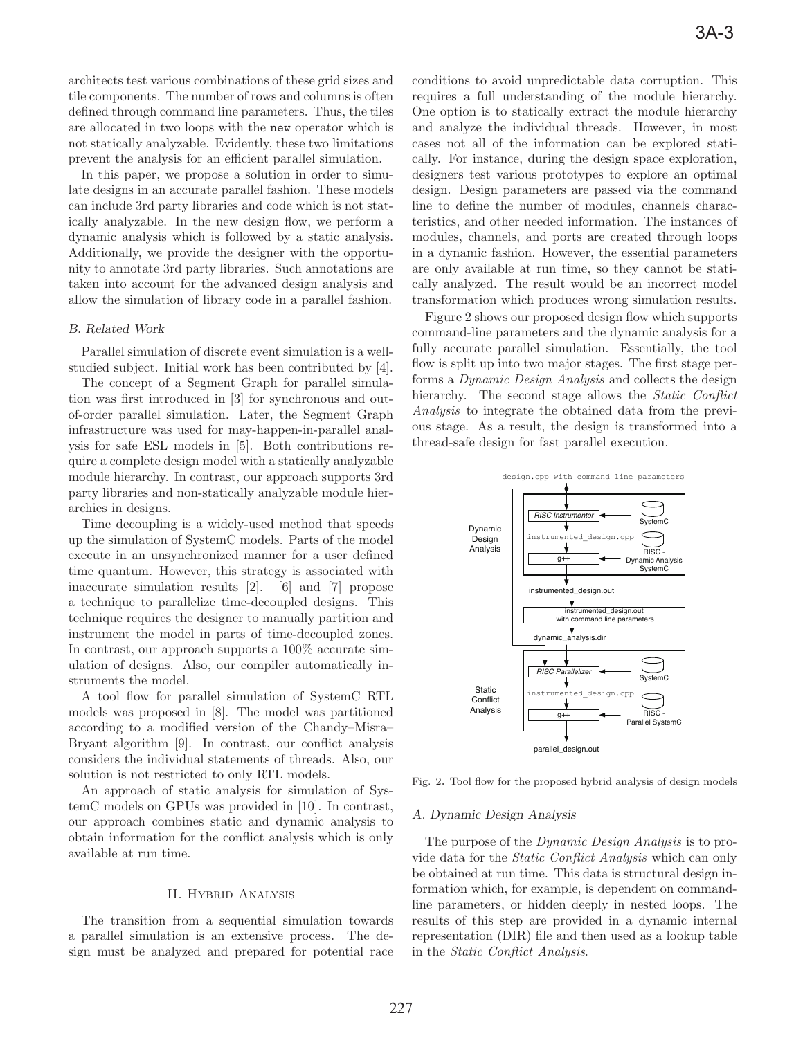architects test various combinations of these grid sizes and tile components. The number of rows and columns is often defined through command line parameters. Thus, the tiles are allocated in two loops with the new operator which is not statically analyzable. Evidently, these two limitations prevent the analysis for an efficient parallel simulation.

In this paper, we propose a solution in order to simulate designs in an accurate parallel fashion. These models can include 3rd party libraries and code which is not statically analyzable. In the new design flow, we perform a dynamic analysis which is followed by a static analysis. Additionally, we provide the designer with the opportunity to annotate 3rd party libraries. Such annotations are taken into account for the advanced design analysis and allow the simulation of library code in a parallel fashion.

# *B. Related Work*

Parallel simulation of discrete event simulation is a wellstudied subject. Initial work has been contributed by [4].

The concept of a Segment Graph for parallel simulation was first introduced in [3] for synchronous and outof-order parallel simulation. Later, the Segment Graph infrastructure was used for may-happen-in-parallel analysis for safe ESL models in [5]. Both contributions require a complete design model with a statically analyzable module hierarchy. In contrast, our approach supports 3rd party libraries and non-statically analyzable module hierarchies in designs.

Time decoupling is a widely-used method that speeds up the simulation of SystemC models. Parts of the model execute in an unsynchronized manner for a user defined time quantum. However, this strategy is associated with inaccurate simulation results [2]. [6] and [7] propose a technique to parallelize time-decoupled designs. This technique requires the designer to manually partition and instrument the model in parts of time-decoupled zones. In contrast, our approach supports a 100% accurate simulation of designs. Also, our compiler automatically instruments the model.

A tool flow for parallel simulation of SystemC RTL models was proposed in [8]. The model was partitioned according to a modified version of the Chandy–Misra– Bryant algorithm [9]. In contrast, our conflict analysis considers the individual statements of threads. Also, our solution is not restricted to only RTL models.

An approach of static analysis for simulation of SystemC models on GPUs was provided in [10]. In contrast, our approach combines static and dynamic analysis to obtain information for the conflict analysis which is only available at run time.

# II. Hybrid Analysis

The transition from a sequential simulation towards a parallel simulation is an extensive process. The design must be analyzed and prepared for potential race conditions to avoid unpredictable data corruption. This requires a full understanding of the module hierarchy. One option is to statically extract the module hierarchy and analyze the individual threads. However, in most cases not all of the information can be explored statically. For instance, during the design space exploration, designers test various prototypes to explore an optimal design. Design parameters are passed via the command line to define the number of modules, channels characteristics, and other needed information. The instances of modules, channels, and ports are created through loops in a dynamic fashion. However, the essential parameters are only available at run time, so they cannot be statically analyzed. The result would be an incorrect model transformation which produces wrong simulation results.

Figure 2 shows our proposed design flow which supports command-line parameters and the dynamic analysis for a fully accurate parallel simulation. Essentially, the tool flow is split up into two major stages. The first stage performs a Dynamic Design Analysis and collects the design hierarchy. The second stage allows the *Static Conflict* Analysis to integrate the obtained data from the previous stage. As a result, the design is transformed into a thread-safe design for fast parallel execution.



Fig. 2. Tool flow for the proposed hybrid analysis of design models

#### *A. Dynamic Design Analysis*

The purpose of the Dynamic Design Analysis is to provide data for the Static Conflict Analysis which can only be obtained at run time. This data is structural design information which, for example, is dependent on commandline parameters, or hidden deeply in nested loops. The results of this step are provided in a dynamic internal representation (DIR) file and then used as a lookup table in the Static Conflict Analysis.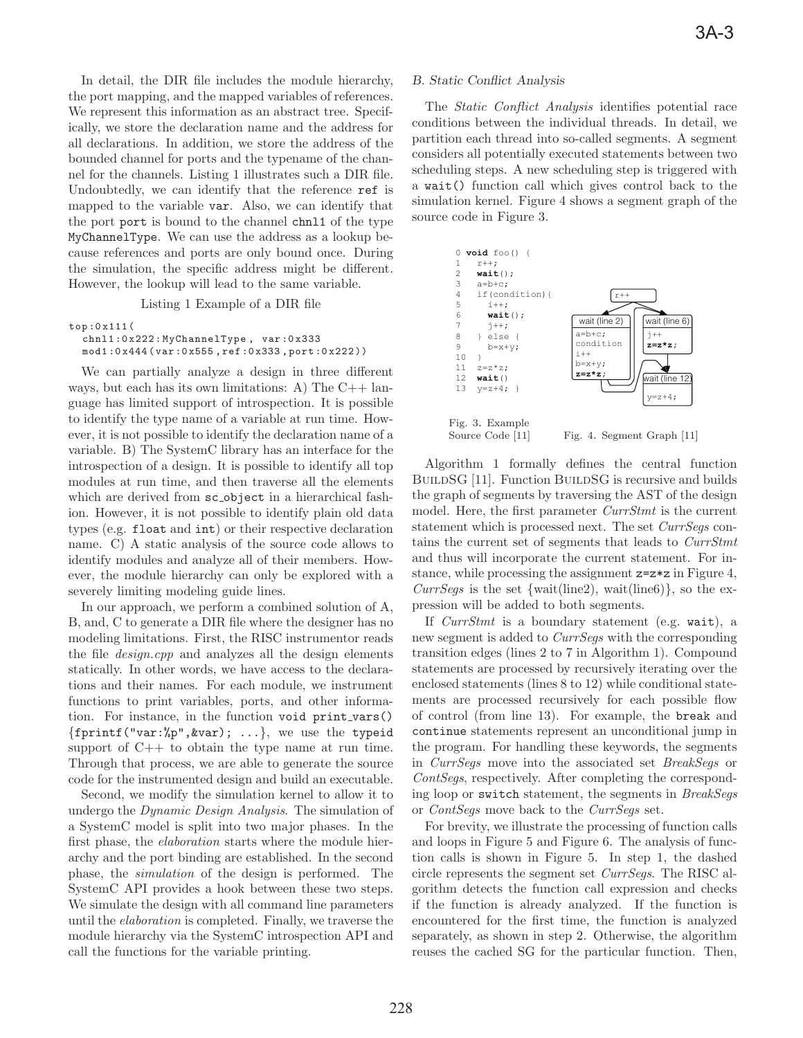In detail, the DIR file includes the module hierarchy, the port mapping, and the mapped variables of references. We represent this information as an abstract tree. Specifically, we store the declaration name and the address for all declarations. In addition, we store the address of the bounded channel for ports and the typename of the channel for the channels. Listing 1 illustrates such a DIR file. Undoubtedly, we can identify that the reference ref is mapped to the variable var. Also, we can identify that the port port is bound to the channel chnl1 of the type MyChannelType. We can use the address as a lookup because references and ports are only bound once. During the simulation, the specific address might be different. However, the lookup will lead to the same variable.

Listing 1 Example of a DIR file

```
top:0x111(
 chnl1:0x222:MyChannelType , var:0x333
mod1:0x444(var:0 x555 ,ref:0x333 , port:0x222))
```
We can partially analyze a design in three different ways, but each has its own limitations: A) The  $C++$  language has limited support of introspection. It is possible to identify the type name of a variable at run time. However, it is not possible to identify the declaration name of a variable. B) The SystemC library has an interface for the introspection of a design. It is possible to identify all top modules at run time, and then traverse all the elements which are derived from  $sc\_object$  in a hierarchical fashion. However, it is not possible to identify plain old data types (e.g. float and int) or their respective declaration name. C) A static analysis of the source code allows to identify modules and analyze all of their members. However, the module hierarchy can only be explored with a severely limiting modeling guide lines.

In our approach, we perform a combined solution of A, B, and, C to generate a DIR file where the designer has no modeling limitations. First, the RISC instrumentor reads the file design.cpp and analyzes all the design elements statically. In other words, we have access to the declarations and their names. For each module, we instrument functions to print variables, ports, and other information. For instance, in the function void print\_vars()  ${fprint("var: %p", &var); ...}$ , we use the typeid support of  $C++$  to obtain the type name at run time. Through that process, we are able to generate the source code for the instrumented design and build an executable.

Second, we modify the simulation kernel to allow it to undergo the Dynamic Design Analysis. The simulation of a SystemC model is split into two major phases. In the first phase, the elaboration starts where the module hierarchy and the port binding are established. In the second phase, the simulation of the design is performed. The SystemC API provides a hook between these two steps. We simulate the design with all command line parameters until the elaboration is completed. Finally, we traverse the module hierarchy via the SystemC introspection API and call the functions for the variable printing.

# *B. Static Conflict Analysis*

The Static Conflict Analysis identifies potential race conditions between the individual threads. In detail, we partition each thread into so-called segments. A segment considers all potentially executed statements between two scheduling steps. A new scheduling step is triggered with a wait() function call which gives control back to the simulation kernel. Figure 4 shows a segment graph of the source code in Figure 3.



Algorithm 1 formally defines the central function BUILDSG [11]. Function BUILDSG is recursive and builds the graph of segments by traversing the AST of the design model. Here, the first parameter CurrStmt is the current statement which is processed next. The set CurrSegs contains the current set of segments that leads to CurrStmt and thus will incorporate the current statement. For instance, while processing the assignment z=z\*z in Figure 4,  $CurrSegs$  is the set {wait(line2), wait(line6)}, so the expression will be added to both segments.

If CurrStmt is a boundary statement (e.g. wait), a new segment is added to *CurrSegs* with the corresponding transition edges (lines 2 to 7 in Algorithm 1). Compound statements are processed by recursively iterating over the enclosed statements (lines 8 to 12) while conditional statements are processed recursively for each possible flow of control (from line 13). For example, the break and continue statements represent an unconditional jump in the program. For handling these keywords, the segments in CurrSegs move into the associated set BreakSegs or ContSegs, respectively. After completing the corresponding loop or switch statement, the segments in BreakSegs or ContSegs move back to the CurrSegs set.

For brevity, we illustrate the processing of function calls and loops in Figure 5 and Figure 6. The analysis of function calls is shown in Figure 5. In step 1, the dashed circle represents the segment set CurrSegs. The RISC algorithm detects the function call expression and checks if the function is already analyzed. If the function is encountered for the first time, the function is analyzed separately, as shown in step 2. Otherwise, the algorithm reuses the cached SG for the particular function. Then,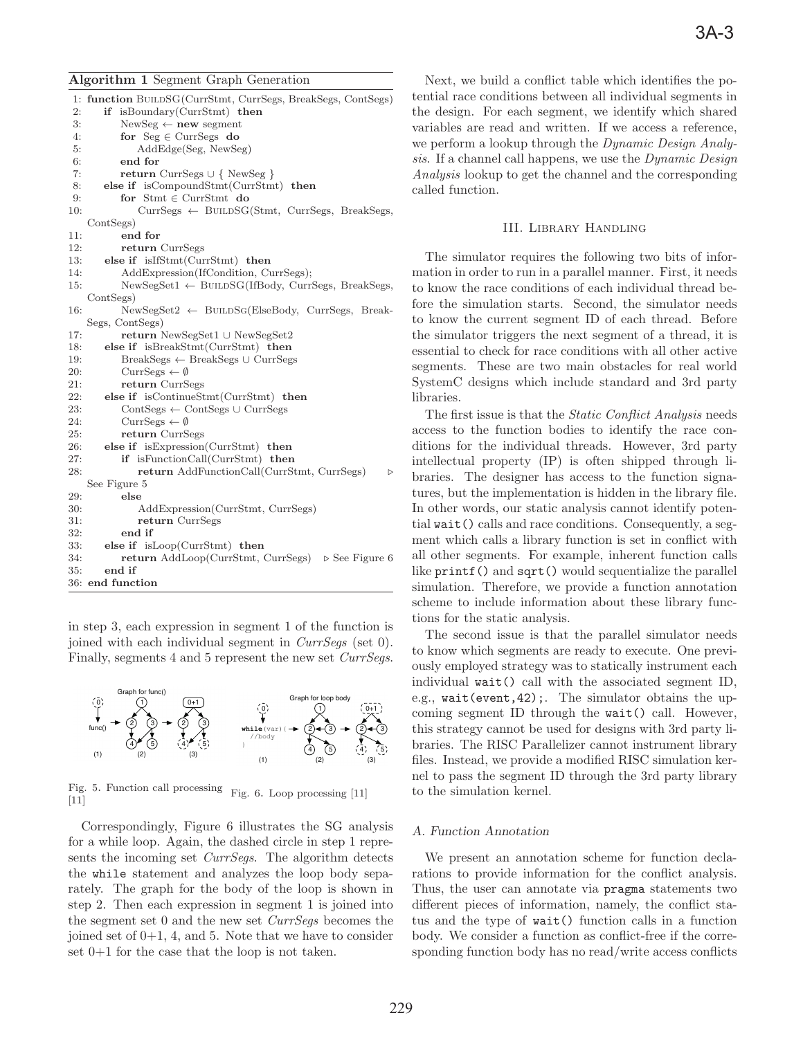### **Algorithm 1** Segment Graph Generation

1: **function** BuildSG(CurrStmt, CurrSegs, BreakSegs, ContSegs) 2: **if** isBoundary(CurrStmt) **then** 3: NewSeg ← **new** segment 4: **for** Seg ∈ CurrSegs **do** 5: AddEdge(Seg, NewSeg) 6: **end for** 7: **return** CurrSegs ∪ { NewSeg } 8: **else if** isCompoundStmt(CurrStmt) **then** 9: **for** Stmt ∈ CurrStmt **do** 10: CurrSegs ← BuildSG(Stmt, CurrSegs, BreakSegs, ContSegs) 11: **end for** 12: **return** CurrSegs 13: **else if** isIfStmt(CurrStmt) **then** 14: AddExpression(IfCondition, CurrSegs);  $15:$  NewSegSet1 ← BUILDSG(IfBody, CurrSegs, BreakSegs, ContSegs) 16: NewSegSet2 ← BuildSg(ElseBody, CurrSegs, Break-Segs, ContSegs) 17: **return** NewSegSet1 ∪ NewSegSet2 18: **else if** isBreakStmt(CurrStmt) **then** 19: BreakSegs ← BreakSegs ∪ CurrSegs 20: CurrSegs  $\leftarrow \emptyset$ 21: **return** CurrSegs 22: **else if** isContinueStmt(CurrStmt) **then** 23: ContSegs ← ContSegs ∪ CurrSegs 24: CurrSegs  $\leftarrow \emptyset$ 25: **return** CurrSegs 26: **else if** isExpression(CurrStmt) **then** 27: **if** isFunctionCall(CurrStmt) **then** 28: **return** AddFunctionCall(CurrStmt, CurrSegs)  $\triangleright$ See Figure 5 29: **else** 30: AddExpression(CurrStmt, CurrSegs) 31: **return** CurrSegs 32: **end if** 33: **else if** isLoop(CurrStmt) **then** 34: **return** AddLoop(CurrStmt, CurrSegs)  $\triangleright$  See Figure 6 35: **end if** 36: **end function**

in step 3, each expression in segment 1 of the function is joined with each individual segment in CurrSegs (set 0). Finally, segments 4 and 5 represent the new set CurrSegs.



Fig. 5. Function call processing  $[11]$ Fig. 6. Loop processing [11]

Correspondingly, Figure 6 illustrates the SG analysis for a while loop. Again, the dashed circle in step 1 represents the incoming set *CurrSegs*. The algorithm detects the while statement and analyzes the loop body separately. The graph for the body of the loop is shown in step 2. Then each expression in segment 1 is joined into the segment set 0 and the new set CurrSegs becomes the joined set of  $0+1$ , 4, and 5. Note that we have to consider set 0+1 for the case that the loop is not taken.

Next, we build a conflict table which identifies the potential race conditions between all individual segments in the design. For each segment, we identify which shared variables are read and written. If we access a reference, we perform a lookup through the Dynamic Design Analysis. If a channel call happens, we use the *Dynamic Design* Analysis lookup to get the channel and the corresponding called function.

#### III. Library Handling

The simulator requires the following two bits of information in order to run in a parallel manner. First, it needs to know the race conditions of each individual thread before the simulation starts. Second, the simulator needs to know the current segment ID of each thread. Before the simulator triggers the next segment of a thread, it is essential to check for race conditions with all other active segments. These are two main obstacles for real world SystemC designs which include standard and 3rd party libraries.

The first issue is that the *Static Conflict Analysis* needs access to the function bodies to identify the race conditions for the individual threads. However, 3rd party intellectual property (IP) is often shipped through libraries. The designer has access to the function signatures, but the implementation is hidden in the library file. In other words, our static analysis cannot identify potential wait() calls and race conditions. Consequently, a segment which calls a library function is set in conflict with all other segments. For example, inherent function calls like printf() and sqrt() would sequentialize the parallel simulation. Therefore, we provide a function annotation scheme to include information about these library functions for the static analysis.

The second issue is that the parallel simulator needs to know which segments are ready to execute. One previously employed strategy was to statically instrument each individual wait() call with the associated segment ID, e.g., wait(event,42);. The simulator obtains the upcoming segment ID through the wait() call. However, this strategy cannot be used for designs with 3rd party libraries. The RISC Parallelizer cannot instrument library files. Instead, we provide a modified RISC simulation kernel to pass the segment ID through the 3rd party library to the simulation kernel.

# *A. Function Annotation*

We present an annotation scheme for function declarations to provide information for the conflict analysis. Thus, the user can annotate via pragma statements two different pieces of information, namely, the conflict status and the type of wait() function calls in a function body. We consider a function as conflict-free if the corresponding function body has no read/write access conflicts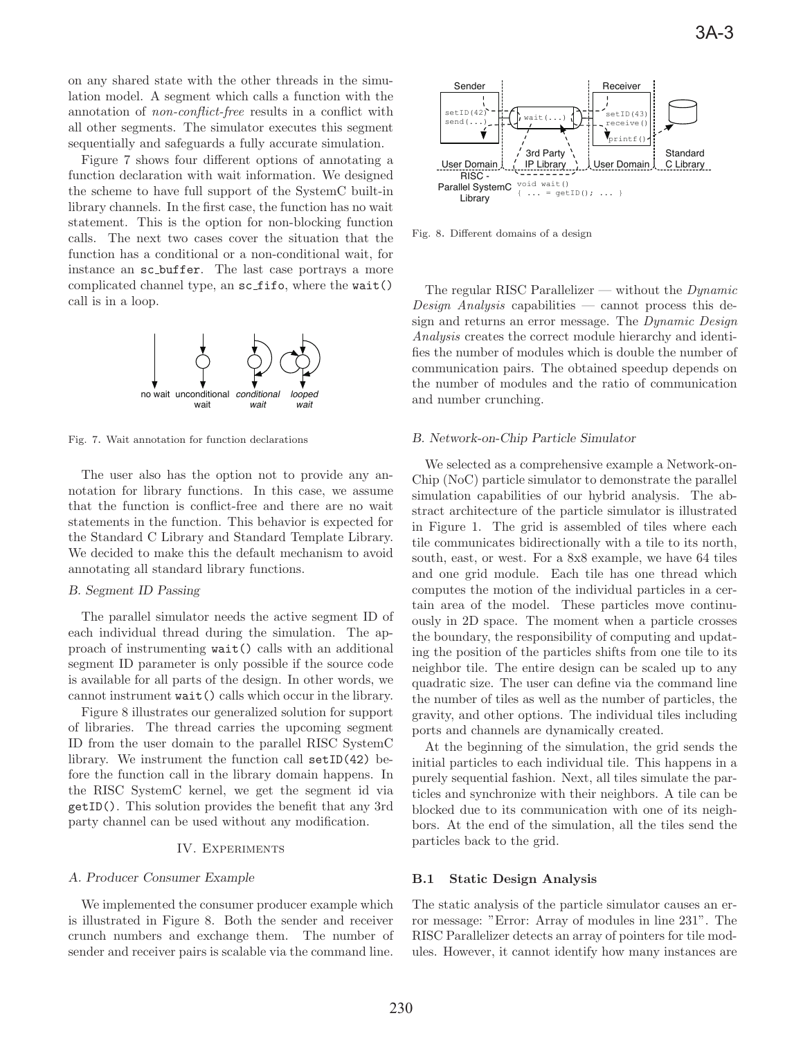on any shared state with the other threads in the simulation model. A segment which calls a function with the annotation of non-conflict-free results in a conflict with all other segments. The simulator executes this segment sequentially and safeguards a fully accurate simulation.

Figure 7 shows four different options of annotating a function declaration with wait information. We designed the scheme to have full support of the SystemC built-in library channels. In the first case, the function has no wait statement. This is the option for non-blocking function calls. The next two cases cover the situation that the function has a conditional or a non-conditional wait, for instance an sc buffer. The last case portrays a more complicated channel type, an sc fifo, where the wait() call is in a loop.



Fig. 7. Wait annotation for function declarations

The user also has the option not to provide any annotation for library functions. In this case, we assume that the function is conflict-free and there are no wait statements in the function. This behavior is expected for the Standard C Library and Standard Template Library. We decided to make this the default mechanism to avoid annotating all standard library functions.

## *B. Segment ID Passing*

The parallel simulator needs the active segment ID of each individual thread during the simulation. The approach of instrumenting wait() calls with an additional segment ID parameter is only possible if the source code is available for all parts of the design. In other words, we cannot instrument wait() calls which occur in the library.

Figure 8 illustrates our generalized solution for support of libraries. The thread carries the upcoming segment ID from the user domain to the parallel RISC SystemC library. We instrument the function call setID(42) before the function call in the library domain happens. In the RISC SystemC kernel, we get the segment id via getID(). This solution provides the benefit that any 3rd party channel can be used without any modification.

### IV. Experiments

# *A. Producer Consumer Example*

We implemented the consumer producer example which is illustrated in Figure 8. Both the sender and receiver crunch numbers and exchange them. The number of sender and receiver pairs is scalable via the command line.



Fig. 8. Different domains of a design

The regular RISC Parallelizer — without the  $Dynamic$  $Design Analysis capabilities$  capabilities — cannot process this design and returns an error message. The *Dynamic Design* Analysis creates the correct module hierarchy and identifies the number of modules which is double the number of communication pairs. The obtained speedup depends on the number of modules and the ratio of communication and number crunching.

# *B. Network-on-Chip Particle Simulator*

We selected as a comprehensive example a Network-on-Chip (NoC) particle simulator to demonstrate the parallel simulation capabilities of our hybrid analysis. The abstract architecture of the particle simulator is illustrated in Figure 1. The grid is assembled of tiles where each tile communicates bidirectionally with a tile to its north, south, east, or west. For a 8x8 example, we have 64 tiles and one grid module. Each tile has one thread which computes the motion of the individual particles in a certain area of the model. These particles move continuously in 2D space. The moment when a particle crosses the boundary, the responsibility of computing and updating the position of the particles shifts from one tile to its neighbor tile. The entire design can be scaled up to any quadratic size. The user can define via the command line the number of tiles as well as the number of particles, the gravity, and other options. The individual tiles including ports and channels are dynamically created.

At the beginning of the simulation, the grid sends the initial particles to each individual tile. This happens in a purely sequential fashion. Next, all tiles simulate the particles and synchronize with their neighbors. A tile can be blocked due to its communication with one of its neighbors. At the end of the simulation, all the tiles send the particles back to the grid.

# **B.1 Static Design Analysis**

The static analysis of the particle simulator causes an error message: "Error: Array of modules in line 231". The RISC Parallelizer detects an array of pointers for tile modules. However, it cannot identify how many instances are